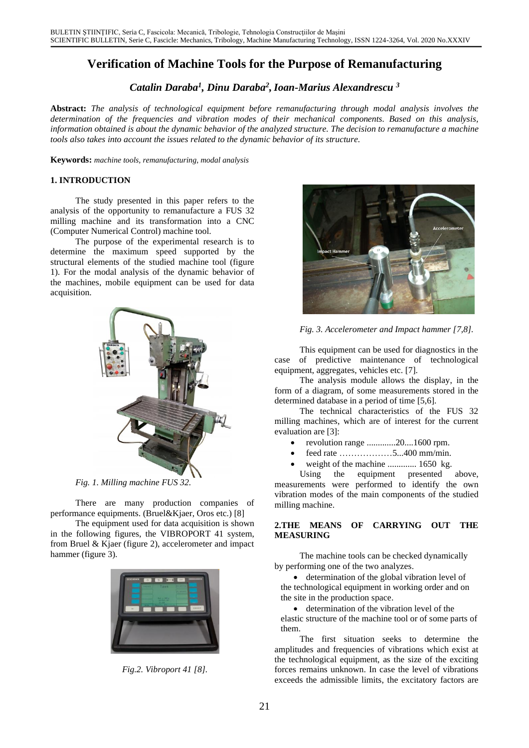# **Verification of Machine Tools for the Purpose of Remanufacturing**

*Catalin Daraba<sup>1</sup> , Dinu Daraba<sup>2</sup> ,Ioan-Marius Alexandrescu <sup>3</sup>*

**Abstract:** *The analysis of technological equipment before remanufacturing through modal analysis involves the determination of the frequencies and vibration modes of their mechanical components. Based on this analysis, information obtained is about the dynamic behavior of the analyzed structure. The decision to remanufacture a machine tools also takes into account the issues related to the dynamic behavior of its structure.*

**Keywords:** *machine tools, remanufacturing, modal analysis*

# **1. INTRODUCTION**

The study presented in this paper refers to the analysis of the opportunity to remanufacture a FUS 32 milling machine and its transformation into a CNC (Computer Numerical Control) machine tool.

The purpose of the experimental research is to determine the maximum speed supported by the structural elements of the studied machine tool (figure 1). For the modal analysis of the dynamic behavior of the machines, mobile equipment can be used for data acquisition.



*Fig. 1. Milling machine FUS 32.*

There are many production companies of performance equipments. (Bruel&Kjaer, Oros etc.) [8]

The equipment used for data acquisition is shown in the following figures, the VIBROPORT 41 system, from Bruel & Kjaer (figure 2), accelerometer and impact hammer (figure 3).



*Fig.2. Vibroport 41 [8].*



*Fig. 3. Accelerometer and Impact hammer [7,8].*

This equipment can be used for diagnostics in the case of predictive maintenance of technological equipment, aggregates, vehicles etc. [7].

The analysis module allows the display, in the form of a diagram, of some measurements stored in the determined database in a period of time [5,6].

The technical characteristics of the FUS 32 milling machines, which are of interest for the current evaluation are [3]:

- revolution range .............20....1600 rpm.
- feed rate ………………5...400 mm/min.
- weight of the machine ............. 1650 kg.

Using the equipment presented above, measurements were performed to identify the own vibration modes of the main components of the studied milling machine.

# **2.THE MEANS OF CARRYING OUT THE MEASURING**

The machine tools can be checked dynamically by performing one of the two analyzes.

• determination of the global vibration level of the technological equipment in working order and on the site in the production space.

• determination of the vibration level of the elastic structure of the machine tool or of some parts of them.

The first situation seeks to determine the amplitudes and frequencies of vibrations which exist at the technological equipment, as the size of the exciting forces remains unknown. In case the level of vibrations exceeds the admissible limits, the excitatory factors are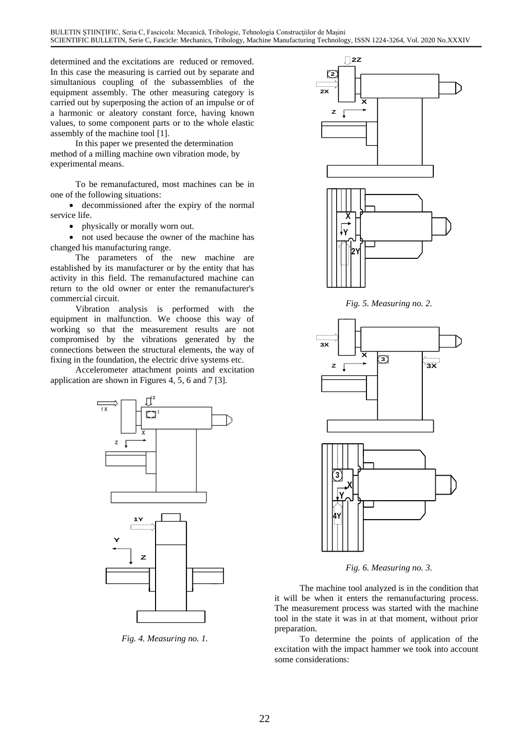determined and the excitations are reduced or removed. In this case the measuring is carried out by separate and simultanious coupling of the subassemblies of the equipment assembly. The other measuring category is carried out by superposing the action of an impulse or of a harmonic or aleatory constant force, having known values, to some component parts or to the whole elastic assembly of the machine tool [1].

In this paper we presented the determination method of a milling machine own vibration mode, by experimental means.

To be remanufactured, most machines can be in one of the following situations:

• decommissioned after the expiry of the normal service life.

• physically or morally worn out.

• not used because the owner of the machine has changed his manufacturing range.

The parameters of the new machine are established by its manufacturer or by the entity that has activity in this field. The remanufactured machine can return to the old owner or enter the remanufacturer's commercial circuit.

Vibration analysis is performed with the equipment in malfunction. We choose this way of working so that the measurement results are not compromised by the vibrations generated by the connections between the structural elements, the way of fixing in the foundation, the electric drive systems etc.

Accelerometer attachment points and excitation application are shown in Figures 4, 5, 6 and 7 [3].





*Fig. 5. Measuring no. 2.*



*Fig. 6. Measuring no. 3.*

The machine tool analyzed is in the condition that it will be when it enters the remanufacturing process. The measurement process was started with the machine tool in the state it was in at that moment, without prior preparation.

*Fig. 4. Measuring no. 1.* To determine the points of application of the excitation with the impact hammer we took into account some considerations: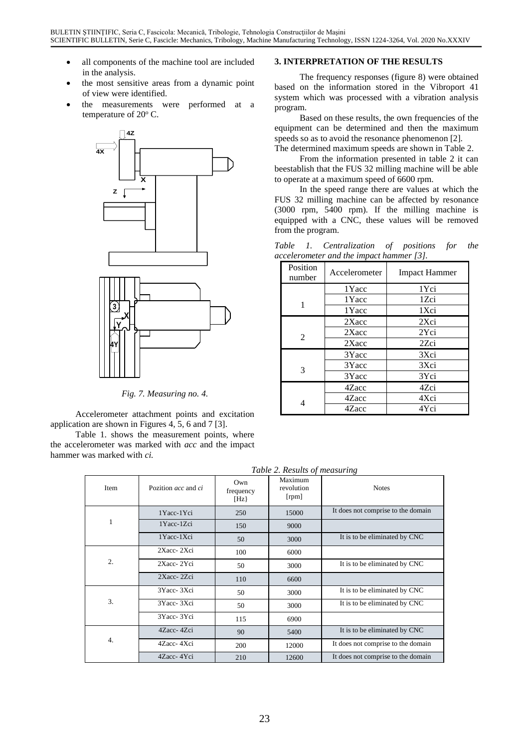- all components of the machine tool are included in the analysis.
- the most sensitive areas from a dynamic point of view were identified.
- the measurements were performed at a



*Fig. 7. Measuring no. 4.*

Accelerometer attachment points and excitation application are shown in Figures 4, 5, 6 and 7 [3].

Table 1. shows the measurement points, where the accelerometer was marked with *acc* and the impact hammer was marked with *ci.*

# **3. INTERPRETATION OF THE RESULTS**

The frequency responses (figure 8) were obtained based on the information stored in the Vibroport 41 system which was processed with a vibration analysis program.

temperature of  $20^{\circ}$  C.<br>Based on these results, the own frequencies of the equipment can be determined and then the maximum speeds so as to avoid the resonance phenomenon [2]. The determined maximum speeds are shown in Table 2.

From the information presented in table 2 it can beestablish that the FUS 32 milling machine will be able to operate at a maximum speed of 6600 rpm.

In the speed range there are values at which the FUS 32 milling machine can be affected by resonance (3000 rpm, 5400 rpm). If the milling machine is equipped with a CNC, these values will be removed from the program.

*Table 1. Centralization of positions for the accelerometer and the impact hammer [3].*

| Position<br>number | Accelerometer | <b>Impact Hammer</b> |
|--------------------|---------------|----------------------|
|                    | 1Yacc         | 1Yci                 |
|                    | 1Yacc         | 1Zci                 |
|                    | 1Yacc         | 1Xci                 |
|                    | 2Xacc         | 2Xci                 |
| $\mathcal{L}$      | 2Xacc         | 2Yci                 |
|                    | 2Xacc         | 27ci                 |
|                    | 3Yacc         | 3Xci                 |
| 3                  | 3Yacc         | 3Xci                 |
|                    | 3Yacc         | 3Yci                 |
|                    | 4Zacc         | 4Zci                 |
|                    | 4Zacc         | 4Xci                 |
|                    | 4Zacc         | 4Yci                 |

*Table 2. Results of measuring*

| Item | Pozition <i>acc</i> and <i>ci</i> | Own<br>frequency<br>[Hz] | Maximum<br>revolution<br>[rpm] | <b>Notes</b>                       |
|------|-----------------------------------|--------------------------|--------------------------------|------------------------------------|
| 1    | 1Yacc-1Yci                        | 250                      | 15000                          | It does not comprise to the domain |
|      | 1Yacc-1Zci                        | 150                      | 9000                           |                                    |
|      | 1Yacc-1Xci                        | 50                       | 3000                           | It is to be eliminated by CNC      |
| 2.   | 2Xacc-2Xci                        | 100                      | 6000                           |                                    |
|      | 2Xacc-2Yci                        | 50                       | 3000                           | It is to be eliminated by CNC      |
|      | 2Xacc-2Zci                        | 110                      | 6600                           |                                    |
| 3.   | 3Yacc-3Xci                        | 50                       | 3000                           | It is to be eliminated by CNC      |
|      | 3Yacc-3Xci                        | 50                       | 3000                           | It is to be eliminated by CNC      |
|      | 3Yacc-3Yci                        | 115                      | 6900                           |                                    |
| 4.   | 4Zacc-4Zci                        | 90                       | 5400                           | It is to be eliminated by CNC      |
|      | 4Zacc- 4Xci                       | 200                      | 12000                          | It does not comprise to the domain |
|      | 4Zacc-4Yci                        | 210                      | 12600                          | It does not comprise to the domain |